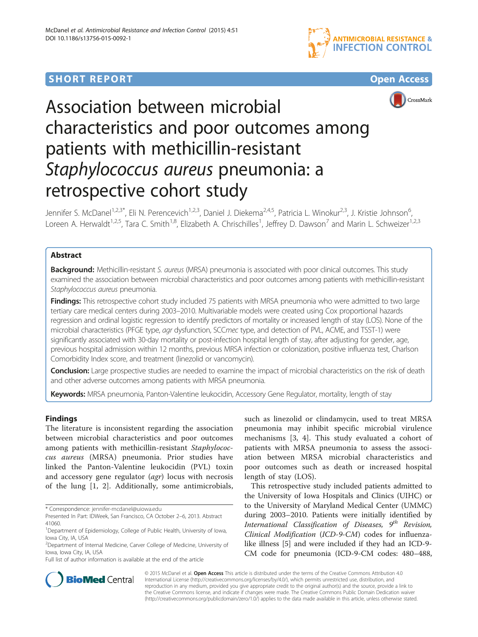## **SHORT REPORT SHORT CONSUMING THE CONSUMING THE CONSUMING THE CONSUMING THE CONSUMING THE CONSUMING THE CONSUMING THE CONSUMING THE CONSUMING THE CONSUMING THE CONSUMING THE CONSUMING THE CONSUMING THE CONSUMING THE CO**







# Association between microbial characteristics and poor outcomes among patients with methicillin-resistant Staphylococcus aureus pneumonia: a retrospective cohort study

Jennifer S. McDanel<sup>1,2,3\*</sup>, Eli N. Perencevich<sup>1,2,3</sup>, Daniel J. Diekema<sup>2,4,5</sup>, Patricia L. Winokur<sup>2,3</sup>, J. Kristie Johnson<sup>6</sup>, י<br>, Loreen A. Herwaldt<sup>1,2,5</sup>, Tara C. Smith<sup>1,8</sup>, Elizabeth A. Chrischilles<sup>1</sup>, Jeffrey D. Dawson<sup>7</sup> and Marin L. Schweizer<sup>1,2,3</sup>

## Abstract

Background: Methicillin-resistant S. aureus (MRSA) pneumonia is associated with poor clinical outcomes. This study examined the association between microbial characteristics and poor outcomes among patients with methicillin-resistant Staphylococcus aureus pneumonia.

Findings: This retrospective cohort study included 75 patients with MRSA pneumonia who were admitted to two large tertiary care medical centers during 2003–2010. Multivariable models were created using Cox proportional hazards regression and ordinal logistic regression to identify predictors of mortality or increased length of stay (LOS). None of the microbial characteristics (PFGE type, agr dysfunction, SCCmec type, and detection of PVL, ACME, and TSST-1) were significantly associated with 30-day mortality or post-infection hospital length of stay, after adjusting for gender, age, previous hospital admission within 12 months, previous MRSA infection or colonization, positive influenza test, Charlson Comorbidity Index score, and treatment (linezolid or vancomycin).

Conclusion: Large prospective studies are needed to examine the impact of microbial characteristics on the risk of death and other adverse outcomes among patients with MRSA pneumonia.

Keywords: MRSA pneumonia, Panton-Valentine leukocidin, Accessory Gene Regulator, mortality, length of stay

## **Findings**

The literature is inconsistent regarding the association between microbial characteristics and poor outcomes among patients with methicillin-resistant Staphylococcus aureus (MRSA) pneumonia. Prior studies have linked the Panton-Valentine leukocidin (PVL) toxin and accessory gene regulator (agr) locus with necrosis of the lung [\[1](#page-4-0), [2\]](#page-4-0). Additionally, some antimicrobials,

Full list of author information is available at the end of the article

such as linezolid or clindamycin, used to treat MRSA pneumonia may inhibit specific microbial virulence mechanisms [[3, 4\]](#page-4-0). This study evaluated a cohort of patients with MRSA pneumonia to assess the association between MRSA microbial characteristics and poor outcomes such as death or increased hospital length of stay (LOS).

This retrospective study included patients admitted to the University of Iowa Hospitals and Clinics (UIHC) or to the University of Maryland Medical Center (UMMC) during 2003–2010. Patients were initially identified by International Classification of Diseases,  $9^{th}$  Revision, Clinical Modification (ICD-9-CM) codes for influenzalike illness [[5\]](#page-4-0) and were included if they had an ICD-9- CM code for pneumonia (ICD-9-CM codes: 480–488,



© 2015 McDanel et al. Open Access This article is distributed under the terms of the Creative Commons Attribution 4.0 International License [\(http://creativecommons.org/licenses/by/4.0/](http://creativecommons.org/licenses/by/4.0/)), which permits unrestricted use, distribution, and reproduction in any medium, provided you give appropriate credit to the original author(s) and the source, provide a link to the Creative Commons license, and indicate if changes were made. The Creative Commons Public Domain Dedication waiver [\(http://creativecommons.org/publicdomain/zero/1.0/](http://creativecommons.org/publicdomain/zero/1.0/)) applies to the data made available in this article, unless otherwise stated.

<sup>\*</sup> Correspondence: [jennifer-mcdanel@uiowa.edu](mailto:jennifer-mcdanel@uiowa.edu)

Presented In Part: IDWeek, San Francisco, CA October 2–6, 2013. Abstract 41060.

<sup>&</sup>lt;sup>1</sup>Department of Epidemiology, College of Public Health, University of Iowa, Iowa City, IA, USA

<sup>2</sup> Department of Internal Medicine, Carver College of Medicine, University of Iowa, Iowa City, IA, USA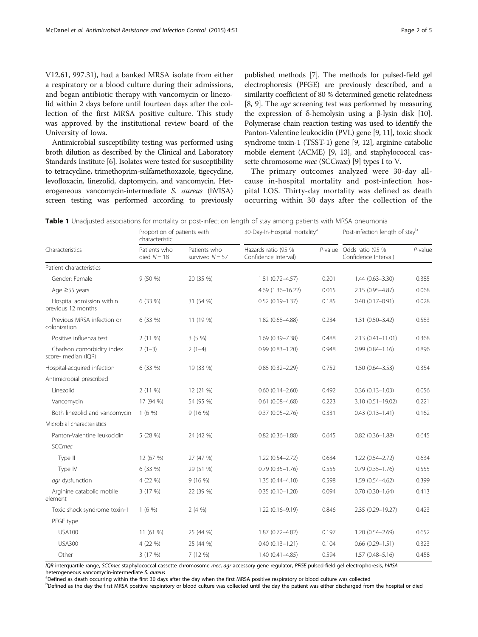<span id="page-1-0"></span>V12.61, 997.31), had a banked MRSA isolate from either a respiratory or a blood culture during their admissions, and began antibiotic therapy with vancomycin or linezolid within 2 days before until fourteen days after the collection of the first MRSA positive culture. This study was approved by the institutional review board of the University of Iowa.

Antimicrobial susceptibility testing was performed using broth dilution as described by the Clinical and Laboratory Standards Institute [\[6\]](#page-4-0). Isolates were tested for susceptibility to tetracycline, trimethoprim-sulfamethoxazole, tigecycline, levofloxacin, linezolid, daptomycin, and vancomycin. Heterogeneous vancomycin-intermediate S. aureus (hVISA) screen testing was performed according to previously

published methods [[7](#page-4-0)]. The methods for pulsed-field gel electrophoresis (PFGE) are previously described, and a similarity coefficient of 80 % determined genetic relatedness [[8](#page-4-0), [9](#page-4-0)]. The *agr* screening test was performed by measuring the expression of δ-hemolysin using a β-lysin disk [\[10](#page-4-0)]. Polymerase chain reaction testing was used to identify the Panton-Valentine leukocidin (PVL) gene [\[9, 11\]](#page-4-0), toxic shock syndrome toxin-1 (TSST-1) gene [[9](#page-4-0), [12\]](#page-4-0), arginine catabolic mobile element (ACME) [[9](#page-4-0), [13](#page-4-0)], and staphylococcal cas-sette chromosome mec (SCCmec) [\[9](#page-4-0)] types I to V.

The primary outcomes analyzed were 30-day allcause in-hospital mortality and post-infection hospital LOS. Thirty-day mortality was defined as death occurring within 30 days after the collection of the

Table 1 Unadjusted associations for mortality or post-infection length of stay among patients with MRSA pneumonia

|                                                   | Proportion of patients with<br>characteristic |                                   | 30-Day-In-Hospital mortality <sup>a</sup>   |       | Post-infection length of stayb                   |            |
|---------------------------------------------------|-----------------------------------------------|-----------------------------------|---------------------------------------------|-------|--------------------------------------------------|------------|
| Characteristics                                   | Patients who<br>died $N = 18$                 | Patients who<br>survived $N = 57$ | Hazards ratio (95 %<br>Confidence Interval) |       | P-value Odds ratio (95 %<br>Confidence Interval) | $P$ -value |
| Patient characteristics                           |                                               |                                   |                                             |       |                                                  |            |
| Gender: Female                                    | 9(50%                                         | 20 (35 %)                         | 1.81 (0.72-4.57)                            | 0.201 | $1.44(0.63 - 3.30)$                              | 0.385      |
| Age $\geq$ 55 years                               |                                               |                                   | 4.69 (1.36-16.22)                           | 0.015 | 2.15 (0.95-4.87)                                 | 0.068      |
| Hospital admission within<br>previous 12 months   | 6 (33 %)                                      | 31 (54 %)                         | $0.52(0.19 - 1.37)$                         | 0.185 | $0.40(0.17 - 0.91)$                              | 0.028      |
| Previous MRSA infection or<br>colonization        | 6 (33 %)                                      | 11 (19 %)                         | 1.82 (0.68-4.88)                            | 0.234 | 1.31 (0.50-3.42)                                 | 0.583      |
| Positive influenza test                           | $2(11\%)$                                     | 3(5%                              | 1.69 (0.39-7.38)                            | 0.488 | $2.13(0.41 - 11.01)$                             | 0.368      |
| Charlson comorbidity index<br>score- median (IQR) | $2(1-3)$                                      | $2(1-4)$                          | $0.99(0.83 - 1.20)$                         | 0.948 | $0.99(0.84 - 1.16)$                              | 0.896      |
| Hospital-acquired infection                       | 6 (33 %)                                      | 19 (33 %)                         | $0.85(0.32 - 2.29)$                         | 0.752 | $1.50(0.64 - 3.53)$                              | 0.354      |
| Antimicrobial prescribed                          |                                               |                                   |                                             |       |                                                  |            |
| Linezolid                                         | $2(11\%)$                                     | 12 (21 %)                         | $0.60(0.14 - 2.60)$                         | 0.492 | $0.36(0.13 - 1.03)$                              | 0.056      |
| Vancomycin                                        | 17 (94 %)                                     | 54 (95 %)                         | $0.61$ (0.08-4.68)                          | 0.223 | 3.10 (0.51-19.02)                                | 0.221      |
| Both linezolid and vancomycin                     | 1(6%                                          | 9(16%)                            | $0.37(0.05 - 2.76)$                         | 0.331 | $0.43(0.13 - 1.41)$                              | 0.162      |
| Microbial characteristics                         |                                               |                                   |                                             |       |                                                  |            |
| Panton-Valentine leukocidin                       | 5 (28 %)                                      | 24 (42 %)                         | $0.82$ $(0.36 - 1.88)$                      | 0.645 | $0.82$ $(0.36 - 1.88)$                           | 0.645      |
| <b>SCCmec</b>                                     |                                               |                                   |                                             |       |                                                  |            |
| Type II                                           | 12 (67 %)                                     | 27 (47 %)                         | $1.22(0.54 - 2.72)$                         | 0.634 | 1.22 (0.54-2.72)                                 | 0.634      |
| Type IV                                           | 6 (33 %)                                      | 29 (51 %)                         | $0.79$ $(0.35 - 1.76)$                      | 0.555 | $0.79(0.35 - 1.76)$                              | 0.555      |
| agr dysfunction                                   | 4 (22 %)                                      | 9(16%)                            | $1.35(0.44 - 4.10)$                         | 0.598 | 1.59 (0.54-4.62)                                 | 0.399      |
| Arginine catabolic mobile<br>element              | 3 (17 %)                                      | 22 (39 %)                         | $0.35(0.10 - 1.20)$                         | 0.094 | $0.70(0.30 - 1.64)$                              | 0.413      |
| Toxic shock syndrome toxin-1                      | 1(6%)                                         | 2(4%)                             | 1.22 (0.16-9.19)                            | 0.846 | 2.35 (0.29-19.27)                                | 0.423      |
| PFGE type                                         |                                               |                                   |                                             |       |                                                  |            |
| <b>USA100</b>                                     | 11 (61 %)                                     | 25 (44 %)                         | 1.87 (0.72-4.82)                            | 0.197 | $1.20(0.54 - 2.69)$                              | 0.652      |
| <b>USA300</b>                                     | 4 (22 %)                                      | 25 (44 %)                         | $0.40(0.13 - 1.21)$                         | 0.104 | $0.66$ $(0.29 - 1.51)$                           | 0.323      |
| Other                                             | 3(17%)                                        | 7 (12 %)                          | $1.40(0.41 - 4.85)$                         | 0.594 | $1.57(0.48 - 5.16)$                              | 0.458      |

IQR interquartile range, SCCmec staphylococcal cassette chromosome mec, agr accessory gene regulator, PFGE pulsed-field gel electrophoresis, hVISA heterogeneous vancomycin-intermediate S. aureus

<sup>a</sup>Defined as death occurring within the first 30 days after the day when the first MRSA positive respiratory or blood culture was collected

**Defined as the day the first MRSA positive respiratory or blood culture was collected until the day the patient was either discharged from the hospital or died**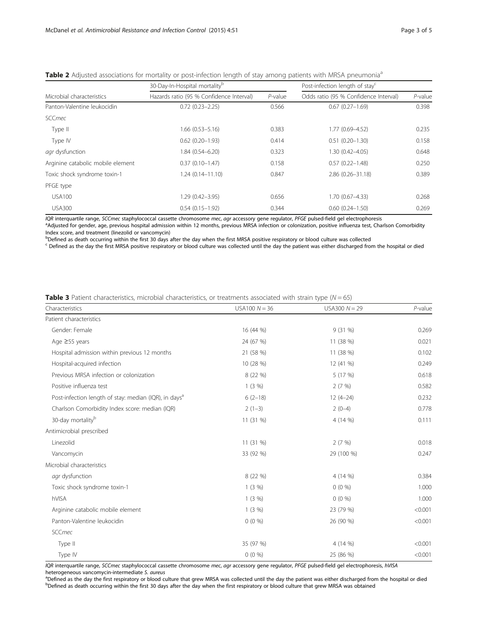|                                   | 30-Day-In-Hospital mortality <sup>b</sup> | Post-infection length of stay <sup>c</sup> |                                       |            |
|-----------------------------------|-------------------------------------------|--------------------------------------------|---------------------------------------|------------|
| Microbial characteristics         | Hazards ratio (95 % Confidence Interval)  | $P$ -value                                 | Odds ratio (95 % Confidence Interval) | $P$ -value |
| Panton-Valentine leukocidin       | $0.72(0.23 - 2.25)$                       | 0.566                                      | $0.67(0.27 - 1.69)$                   | 0.398      |
| <b>SCCmec</b>                     |                                           |                                            |                                       |            |
| Type II                           | $1.66(0.53 - 5.16)$                       | 0.383                                      | 1.77 (0.69-4.52)                      | 0.235      |
| Type IV                           | $0.62(0.20 - 1.93)$                       | 0.414                                      | $0.51(0.20 - 1.30)$                   | 0.158      |
| agr dysfunction                   | 1.84 (0.54-6.20)                          | 0.323                                      | 1.30 (0.42-4.05)                      | 0.648      |
| Arginine catabolic mobile element | $0.37(0.10 - 1.47)$                       | 0.158                                      | $0.57(0.22 - 1.48)$                   | 0.250      |
| Toxic shock syndrome toxin-1      | $1.24(0.14 - 11.10)$                      | 0.847                                      | $2.86(0.26 - 31.18)$                  | 0.389      |
| PFGE type                         |                                           |                                            |                                       |            |
| USA100                            | 1.29 (0.42-3.95)                          | 0.656                                      | 1.70 (0.67-4.33)                      | 0.268      |
| <b>USA300</b>                     | $0.54(0.15 - 1.92)$                       | 0.344                                      | $0.60(0.24 - 1.50)$                   | 0.269      |

<span id="page-2-0"></span>

| Table 2 Adjusted associations for mortality or post-infection length of stay among patients with MRSA pneumonia <sup>a</sup> |  |
|------------------------------------------------------------------------------------------------------------------------------|--|
|------------------------------------------------------------------------------------------------------------------------------|--|

IQR interquartile range, SCC*mec* staphylococcal cassette chromosome *mec, agr* accessory gene regulator, PFGE pulsed-field gel electrophoresis<br><sup>a</sup>Adjusted for gender, age, previous hospital admission within 12 months, pre Index score, and treatment (linezolid or vancomycin)

b<br>Defined as death occurring within the first 30 days after the day when the first MRSA positive respiratory or blood culture was collected

<sup>c</sup> Defined as the day the first MRSA positive respiratory or blood culture was collected until the day the patient was either discharged from the hospital or died

| <b>Table 3</b> Patient characteristics, microbial characteristics, or treatments associated with strain type ( $N = 65$ ) |  |  |  |
|---------------------------------------------------------------------------------------------------------------------------|--|--|--|

| Characteristics                                                   | USA100 $N = 36$ | USA300 $N = 29$ | $P$ -value |
|-------------------------------------------------------------------|-----------------|-----------------|------------|
| Patient characteristics                                           |                 |                 |            |
| Gender: Female                                                    | 16 (44 %)       | 9(31%           | 0.269      |
| Age ≥55 years                                                     | 24 (67 %)       | 11 (38 %)       | 0.021      |
| Hospital admission within previous 12 months                      | 21 (58 %)       | 11 (38 %)       | 0.102      |
| Hospital-acquired infection                                       | 10 (28 %)       | 12 (41 %)       | 0.249      |
| Previous MRSA infection or colonization                           | 8 (22 %)        | 5 (17 %)        | 0.618      |
| Positive influenza test                                           | $1(3\%)$        | 2(7%)           | 0.582      |
| Post-infection length of stay: median (IQR), in days <sup>a</sup> | $6(2-18)$       | $12(4-24)$      | 0.232      |
| Charlson Comorbidity Index score: median (IQR)                    | $2(1-3)$        | $2(0-4)$        | 0.778      |
| 30-day mortality <sup>b</sup>                                     | 11 (31 %)       | 4 (14 %)        | 0.111      |
| Antimicrobial prescribed                                          |                 |                 |            |
| Linezolid                                                         | 11 (31 %)       | 2(7%)           | 0.018      |
| Vancomycin                                                        | 33 (92 %)       | 29 (100 %)      | 0.247      |
| Microbial characteristics                                         |                 |                 |            |
| agr dysfunction                                                   | 8 (22 %)        | 4 (14 %)        | 0.384      |
| Toxic shock syndrome toxin-1                                      | 1(3%)           | $0(0\%)$        | 1.000      |
| hVISA                                                             | $1(3\%)$        | $0(0\%)$        | 1.000      |
| Arginine catabolic mobile element                                 | 1(3%)           | 23 (79 %)       | < 0.001    |
| Panton-Valentine leukocidin                                       | $0(0\%)$        | 26 (90 %)       | < 0.001    |
| <b>SCCmec</b>                                                     |                 |                 |            |
| Type II                                                           | 35 (97 %)       | 4 (14 %)        | < 0.001    |
| Type IV                                                           | $0(0\%)$        | 25 (86 %)       | < 0.001    |

IQR interquartile range, SCCmec staphylococcal cassette chromosome mec, agr accessory gene regulator, PFGE pulsed-field gel electrophoresis, hVISA heterogeneous vancomycin-intermediate S. aureus

<sup>a</sup>Defined as the day the first respiratory or blood culture that grew MRSA was collected until the day the patient was either discharged from the hospital or died bDefined as death occurring within the first 30 days after the day when the first respiratory or blood culture that grew MRSA was obtained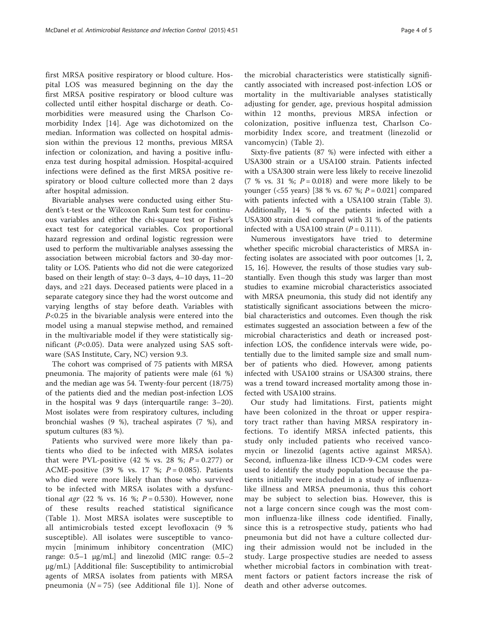first MRSA positive respiratory or blood culture. Hospital LOS was measured beginning on the day the first MRSA positive respiratory or blood culture was collected until either hospital discharge or death. Comorbidities were measured using the Charlson Comorbidity Index [\[14](#page-4-0)]. Age was dichotomized on the median. Information was collected on hospital admission within the previous 12 months, previous MRSA infection or colonization, and having a positive influenza test during hospital admission. Hospital-acquired infections were defined as the first MRSA positive respiratory or blood culture collected more than 2 days after hospital admission.

Bivariable analyses were conducted using either Student's t-test or the Wilcoxon Rank Sum test for continuous variables and either the chi-square test or Fisher's exact test for categorical variables. Cox proportional hazard regression and ordinal logistic regression were used to perform the multivariable analyses assessing the association between microbial factors and 30-day mortality or LOS. Patients who did not die were categorized based on their length of stay: 0–3 days, 4–10 days, 11–20 days, and ≥21 days. Deceased patients were placed in a separate category since they had the worst outcome and varying lengths of stay before death. Variables with P<0.25 in the bivariable analysis were entered into the model using a manual stepwise method, and remained in the multivariable model if they were statistically significant ( $P<0.05$ ). Data were analyzed using SAS software (SAS Institute, Cary, NC) version 9.3.

The cohort was comprised of 75 patients with MRSA pneumonia. The majority of patients were male (61 %) and the median age was 54. Twenty-four percent (18/75) of the patients died and the median post-infection LOS in the hospital was 9 days (interquartile range: 3–20). Most isolates were from respiratory cultures, including bronchial washes (9 %), tracheal aspirates (7 %), and sputum cultures (83 %).

Patients who survived were more likely than patients who died to be infected with MRSA isolates that were PVL-positive (42 % vs. 28 %;  $P = 0.277$ ) or ACME-positive (39 % vs. 17 %;  $P = 0.085$ ). Patients who died were more likely than those who survived to be infected with MRSA isolates with a dysfunctional *agr* (22 % vs. 16 %;  $P = 0.530$ ). However, none of these results reached statistical significance (Table [1](#page-1-0)). Most MRSA isolates were susceptible to all antimicrobials tested except levofloxacin (9 % susceptible). All isolates were susceptible to vancomycin [minimum inhibitory concentration (MIC) range: 0.5–1 μg/mL] and linezolid (MIC range: 0.5–2 μg/mL) [Additional file: Susceptibility to antimicrobial agents of MRSA isolates from patients with MRSA pneumonia ( $N = 75$ ) (see Additional file [1\)](#page-4-0)]. None of the microbial characteristics were statistically significantly associated with increased post-infection LOS or mortality in the multivariable analyses statistically adjusting for gender, age, previous hospital admission within 12 months, previous MRSA infection or colonization, positive influenza test, Charlson Comorbidity Index score, and treatment (linezolid or vancomycin) (Table [2](#page-2-0)).

Sixty-five patients (87 %) were infected with either a USA300 strain or a USA100 strain. Patients infected with a USA300 strain were less likely to receive linezolid (7 % vs. 31 %;  $P = 0.018$ ) and were more likely to be younger (<55 years) [38 % vs. 67 %;  $P = 0.021$ ] compared with patients infected with a USA100 strain (Table [3](#page-2-0)). Additionally, 14 % of the patients infected with a USA300 strain died compared with 31 % of the patients infected with a USA100 strain  $(P = 0.111)$ .

Numerous investigators have tried to determine whether specific microbial characteristics of MRSA infecting isolates are associated with poor outcomes [[1, 2](#page-4-0), [15, 16\]](#page-4-0). However, the results of those studies vary substantially. Even though this study was larger than most studies to examine microbial characteristics associated with MRSA pneumonia, this study did not identify any statistically significant associations between the microbial characteristics and outcomes. Even though the risk estimates suggested an association between a few of the microbial characteristics and death or increased postinfection LOS, the confidence intervals were wide, potentially due to the limited sample size and small number of patients who died. However, among patients infected with USA100 strains or USA300 strains, there was a trend toward increased mortality among those infected with USA100 strains.

Our study had limitations. First, patients might have been colonized in the throat or upper respiratory tract rather than having MRSA respiratory infections. To identify MRSA infected patients, this study only included patients who received vancomycin or linezolid (agents active against MRSA). Second, influenza-like illness ICD-9-CM codes were used to identify the study population because the patients initially were included in a study of influenzalike illness and MRSA pneumonia, thus this cohort may be subject to selection bias. However, this is not a large concern since cough was the most common influenza-like illness code identified. Finally, since this is a retrospective study, patients who had pneumonia but did not have a culture collected during their admission would not be included in the study. Large prospective studies are needed to assess whether microbial factors in combination with treatment factors or patient factors increase the risk of death and other adverse outcomes.